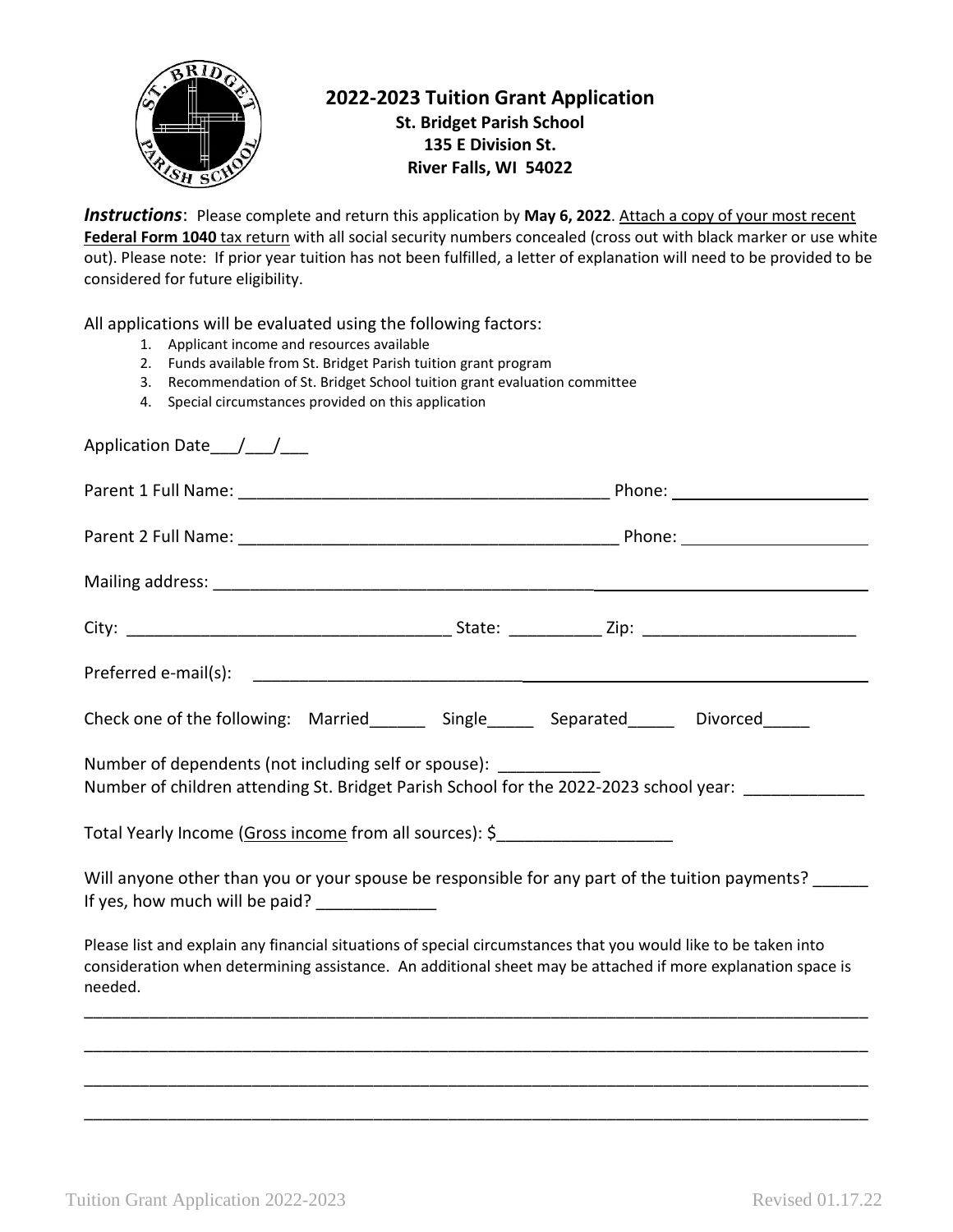

## **2022-2023 Tuition Grant Application St. Bridget Parish School 135 E Division St. River Falls, WI 54022**

*Instructions*: Please complete and return this application by **May 6, 2022**. Attach a copy of your most recent Federal Form 1040 tax return with all social security numbers concealed (cross out with black marker or use white out). Please note: If prior year tuition has not been fulfilled, a letter of explanation will need to be provided to be considered for future eligibility.

All applications will be evaluated using the following factors:

- 1. Applicant income and resources available
- 2. Funds available from St. Bridget Parish tuition grant program
- 3. Recommendation of St. Bridget School tuition grant evaluation committee
- 4. Special circumstances provided on this application

| Application Date___/___/___                                                       |                                                                                                                                                                                                                               |
|-----------------------------------------------------------------------------------|-------------------------------------------------------------------------------------------------------------------------------------------------------------------------------------------------------------------------------|
|                                                                                   |                                                                                                                                                                                                                               |
|                                                                                   |                                                                                                                                                                                                                               |
|                                                                                   |                                                                                                                                                                                                                               |
|                                                                                   |                                                                                                                                                                                                                               |
|                                                                                   |                                                                                                                                                                                                                               |
|                                                                                   | Check one of the following: Married_______ Single_____ Separated_____ Divorced_____                                                                                                                                           |
| Number of dependents (not including self or spouse): ____________                 | Number of children attending St. Bridget Parish School for the 2022-2023 school year: ____________                                                                                                                            |
| Total Yearly Income (Gross income from all sources): \$__________________________ |                                                                                                                                                                                                                               |
| If yes, how much will be paid? _____________                                      | Will anyone other than you or your spouse be responsible for any part of the tuition payments?                                                                                                                                |
| needed.                                                                           | Please list and explain any financial situations of special circumstances that you would like to be taken into<br>consideration when determining assistance. An additional sheet may be attached if more explanation space is |
|                                                                                   |                                                                                                                                                                                                                               |
|                                                                                   |                                                                                                                                                                                                                               |

\_\_\_\_\_\_\_\_\_\_\_\_\_\_\_\_\_\_\_\_\_\_\_\_\_\_\_\_\_\_\_\_\_\_\_\_\_\_\_\_\_\_\_\_\_\_\_\_\_\_\_\_\_\_\_\_\_\_\_\_\_\_\_\_\_\_\_\_\_\_\_\_\_\_\_\_\_\_\_\_\_\_\_\_